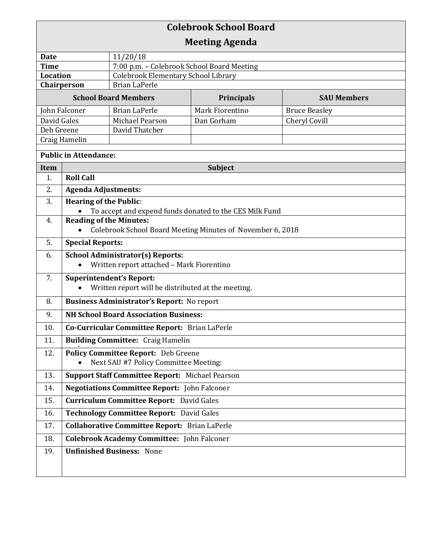| <b>Colebrook School Board</b><br><b>Meeting Agenda</b>     |                                                                                          |                                     |                    |                      |  |  |
|------------------------------------------------------------|------------------------------------------------------------------------------------------|-------------------------------------|--------------------|----------------------|--|--|
| <b>Date</b>                                                |                                                                                          | 11/20/18                            |                    |                      |  |  |
| <b>Time</b><br>7:00 p.m. - Colebrook School Board Meeting  |                                                                                          |                                     |                    |                      |  |  |
| <b>Location</b>                                            |                                                                                          | Colebrook Elementary School Library |                    |                      |  |  |
| <b>Brian LaPerle</b><br>Chairperson                        |                                                                                          |                                     |                    |                      |  |  |
| <b>School Board Members</b>                                |                                                                                          | Principals                          | <b>SAU Members</b> |                      |  |  |
| John Falconer                                              |                                                                                          | <b>Brian LaPerle</b>                | Mark Fiorentino    | <b>Bruce Beasley</b> |  |  |
| David Gales                                                |                                                                                          | Michael Pearson                     | Dan Gorham         | Cheryl Covill        |  |  |
| Deb Greene<br>Craig Hamelin                                |                                                                                          | David Thatcher                      |                    |                      |  |  |
|                                                            |                                                                                          |                                     |                    |                      |  |  |
| <b>Public in Attendance:</b>                               |                                                                                          |                                     |                    |                      |  |  |
| Item                                                       | Subject                                                                                  |                                     |                    |                      |  |  |
| 1.                                                         | <b>Roll Call</b>                                                                         |                                     |                    |                      |  |  |
| 2.                                                         | <b>Agenda Adjustments:</b>                                                               |                                     |                    |                      |  |  |
| 3.                                                         | <b>Hearing of the Public:</b><br>To accept and expend funds donated to the CES Milk Fund |                                     |                    |                      |  |  |
| 4.                                                         |                                                                                          | <b>Reading of the Minutes:</b>      |                    |                      |  |  |
| Colebrook School Board Meeting Minutes of November 6, 2018 |                                                                                          |                                     |                    |                      |  |  |
| 5.                                                         | <b>Special Reports:</b>                                                                  |                                     |                    |                      |  |  |
| 6.                                                         | <b>School Administrator(s) Reports:</b><br>Written report attached - Mark Fiorentino     |                                     |                    |                      |  |  |
| 7.                                                         | <b>Superintendent's Report:</b><br>Written report will be distributed at the meeting.    |                                     |                    |                      |  |  |
| 8.                                                         | <b>Business Administrator's Report:</b> No report                                        |                                     |                    |                      |  |  |
| 9.                                                         | <b>NH School Board Association Business:</b>                                             |                                     |                    |                      |  |  |
| 10.                                                        | Co-Curricular Committee Report: Brian LaPerle                                            |                                     |                    |                      |  |  |
| 11.                                                        | <b>Building Committee: Craig Hamelin</b>                                                 |                                     |                    |                      |  |  |
| 12.                                                        | <b>Policy Committee Report:</b> Deb Greene<br>Next SAU #7 Policy Committee Meeting:      |                                     |                    |                      |  |  |
| 13.                                                        | <b>Support Staff Committee Report: Michael Pearson</b>                                   |                                     |                    |                      |  |  |
| 14.                                                        | <b>Negotiations Committee Report:</b> John Falconer                                      |                                     |                    |                      |  |  |
| 15.                                                        | <b>Curriculum Committee Report:</b> David Gales                                          |                                     |                    |                      |  |  |
| 16.                                                        | Technology Committee Report: David Gales                                                 |                                     |                    |                      |  |  |
| 17.                                                        | <b>Collaborative Committee Report: Brian LaPerle</b>                                     |                                     |                    |                      |  |  |
| 18.                                                        | <b>Colebrook Academy Committee:</b> John Falconer                                        |                                     |                    |                      |  |  |
| 19.                                                        | <b>Unfinished Business: None</b>                                                         |                                     |                    |                      |  |  |
|                                                            |                                                                                          |                                     |                    |                      |  |  |